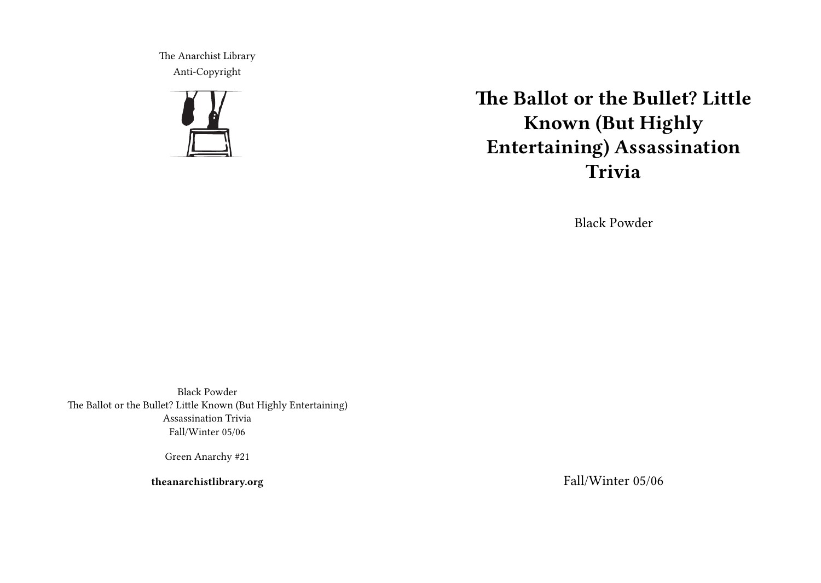The Anarchist Library Anti-Copyright



**The Ballot or the Bullet? Little Known (But Highly Entertaining) Assassination Trivia**

Black Powder

Black Powder The Ballot or the Bullet? Little Known (But Highly Entertaining) Assassination Trivia Fall/Winter 05/06

Green Anarchy #21

**theanarchistlibrary.org**

Fall/Winter 05/06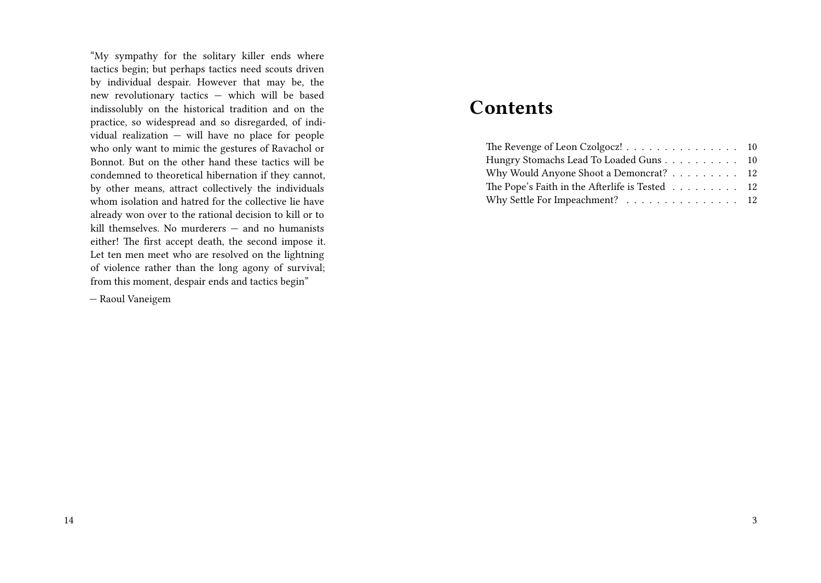"My sympathy for the solitary killer ends where tactics begin; but perhaps tactics need scouts driven by individual despair. However that may be, the new revolutionary tactics — which will be based indissolubly on the historical tradition and on the practice, so widespread and so disregarded, of individual realization — will have no place for people who only want to mimic the gestures of Ravachol or Bonnot. But on the other hand these tactics will be condemned to theoretical hibernation if they cannot, by other means, attract collectively the individuals whom isolation and hatred for the collective lie have already won over to the rational decision to kill or to kill themselves. No murderers — and no humanists either! The first accept death, the second impose it. Let ten men meet who are resolved on the lightning of violence rather than the long agony of survival; from this moment, despair ends and tactics begin"

— Raoul Vaneigem

# **Contents**

| The Revenge of Leon Czolgocz! 10               |  |
|------------------------------------------------|--|
| Hungry Stomachs Lead To Loaded Guns 10         |  |
| Why Would Anyone Shoot a Demoncrat? 12         |  |
| The Pope's Faith in the Afterlife is Tested 12 |  |
| Why Settle For Impeachment? 12                 |  |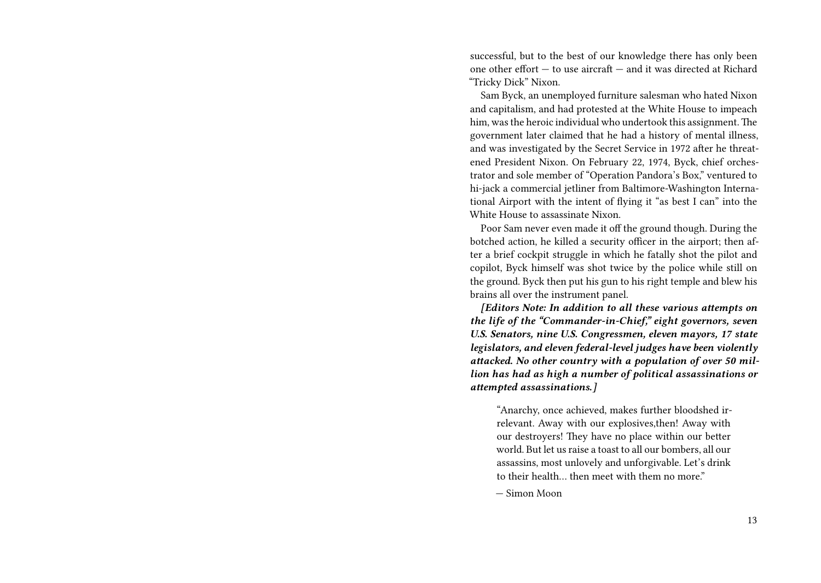successful, but to the best of our knowledge there has only been one other effort — to use aircraft — and it was directed at Richard "Tricky Dick" Nixon.

Sam Byck, an unemployed furniture salesman who hated Nixon and capitalism, and had protested at the White House to impeach him, was the heroic individual who undertook this assignment. The government later claimed that he had a history of mental illness, and was investigated by the Secret Service in 1972 after he threatened President Nixon. On February 22, 1974, Byck, chief orchestrator and sole member of "Operation Pandora's Box," ventured to hi-jack a commercial jetliner from Baltimore-Washington International Airport with the intent of flying it "as best I can" into the White House to assassinate Nixon.

Poor Sam never even made it off the ground though. During the botched action, he killed a security officer in the airport; then after a brief cockpit struggle in which he fatally shot the pilot and copilot, Byck himself was shot twice by the police while still on the ground. Byck then put his gun to his right temple and blew his brains all over the instrument panel.

*[Editors Note: In addition to all these various attempts on the life of the "Commander-in-Chief," eight governors, seven U.S. Senators, nine U.S. Congressmen, eleven mayors, 17 state legislators, and eleven federal-level judges have been violently attacked. No other country with a population of over 50 million has had as high a number of political assassinations or attempted assassinations.]*

"Anarchy, once achieved, makes further bloodshed irrelevant. Away with our explosives,then! Away with our destroyers! They have no place within our better world. But let us raise a toast to all our bombers, all our assassins, most unlovely and unforgivable. Let's drink to their health… then meet with them no more."

— Simon Moon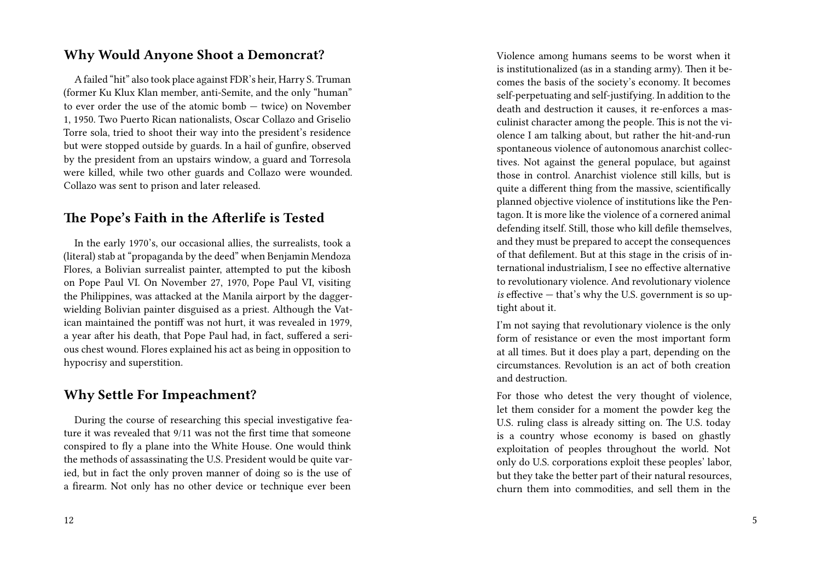#### **Why Would Anyone Shoot a Demoncrat?**

A failed "hit" also took place against FDR's heir, Harry S. Truman (former Ku Klux Klan member, anti-Semite, and the only "human" to ever order the use of the atomic bomb — twice) on November 1, 1950. Two Puerto Rican nationalists, Oscar Collazo and Griselio Torre sola, tried to shoot their way into the president's residence but were stopped outside by guards. In a hail of gunfire, observed by the president from an upstairs window, a guard and Torresola were killed, while two other guards and Collazo were wounded. Collazo was sent to prison and later released.

## **The Pope's Faith in the Afterlife is Tested**

In the early 1970's, our occasional allies, the surrealists, took a (literal) stab at "propaganda by the deed" when Benjamin Mendoza Flores, a Bolivian surrealist painter, attempted to put the kibosh on Pope Paul VI. On November 27, 1970, Pope Paul VI, visiting the Philippines, was attacked at the Manila airport by the daggerwielding Bolivian painter disguised as a priest. Although the Vatican maintained the pontiff was not hurt, it was revealed in 1979, a year after his death, that Pope Paul had, in fact, suffered a serious chest wound. Flores explained his act as being in opposition to hypocrisy and superstition.

## **Why Settle For Impeachment?**

During the course of researching this special investigative feature it was revealed that 9/11 was not the first time that someone conspired to fly a plane into the White House. One would think the methods of assassinating the U.S. President would be quite varied, but in fact the only proven manner of doing so is the use of a firearm. Not only has no other device or technique ever been

Violence among humans seems to be worst when it is institutionalized (as in a standing army). Then it becomes the basis of the society's economy. It becomes self-perpetuating and self-justifying. In addition to the death and destruction it causes, it re-enforces a masculinist character among the people. This is not the violence I am talking about, but rather the hit-and-run spontaneous violence of autonomous anarchist collectives. Not against the general populace, but against those in control. Anarchist violence still kills, but is quite a different thing from the massive, scientifically planned objective violence of institutions like the Pentagon. It is more like the violence of a cornered animal defending itself. Still, those who kill defile themselves, and they must be prepared to accept the consequences of that defilement. But at this stage in the crisis of international industrialism, I see no effective alternative to revolutionary violence. And revolutionary violence *is* effective — that's why the U.S. government is so uptight about it.

I'm not saying that revolutionary violence is the only form of resistance or even the most important form at all times. But it does play a part, depending on the circumstances. Revolution is an act of both creation and destruction.

For those who detest the very thought of violence, let them consider for a moment the powder keg the U.S. ruling class is already sitting on. The U.S. today is a country whose economy is based on ghastly exploitation of peoples throughout the world. Not only do U.S. corporations exploit these peoples' labor, but they take the better part of their natural resources, churn them into commodities, and sell them in the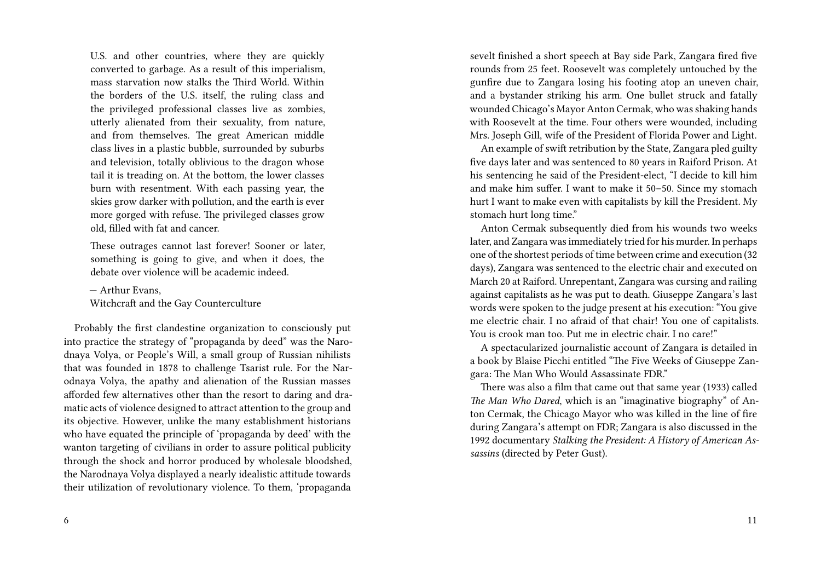U.S. and other countries, where they are quickly converted to garbage. As a result of this imperialism, mass starvation now stalks the Third World. Within the borders of the U.S. itself, the ruling class and the privileged professional classes live as zombies, utterly alienated from their sexuality, from nature, and from themselves. The great American middle class lives in a plastic bubble, surrounded by suburbs and television, totally oblivious to the dragon whose tail it is treading on. At the bottom, the lower classes burn with resentment. With each passing year, the skies grow darker with pollution, and the earth is ever more gorged with refuse. The privileged classes grow old, filled with fat and cancer.

These outrages cannot last forever! Sooner or later, something is going to give, and when it does, the debate over violence will be academic indeed.

— Arthur Evans, Witchcraft and the Gay Counterculture

Probably the first clandestine organization to consciously put into practice the strategy of "propaganda by deed" was the Narodnaya Volya, or People's Will, a small group of Russian nihilists that was founded in 1878 to challenge Tsarist rule. For the Narodnaya Volya, the apathy and alienation of the Russian masses afforded few alternatives other than the resort to daring and dramatic acts of violence designed to attract attention to the group and its objective. However, unlike the many establishment historians who have equated the principle of 'propaganda by deed' with the wanton targeting of civilians in order to assure political publicity through the shock and horror produced by wholesale bloodshed, the Narodnaya Volya displayed a nearly idealistic attitude towards their utilization of revolutionary violence. To them, 'propaganda sevelt finished a short speech at Bay side Park, Zangara fired five rounds from 25 feet. Roosevelt was completely untouched by the gunfire due to Zangara losing his footing atop an uneven chair, and a bystander striking his arm. One bullet struck and fatally wounded Chicago's Mayor Anton Cermak, who was shaking hands with Roosevelt at the time. Four others were wounded, including Mrs. Joseph Gill, wife of the President of Florida Power and Light.

An example of swift retribution by the State, Zangara pled guilty five days later and was sentenced to 80 years in Raiford Prison. At his sentencing he said of the President-elect, "I decide to kill him and make him suffer. I want to make it 50–50. Since my stomach hurt I want to make even with capitalists by kill the President. My stomach hurt long time."

Anton Cermak subsequently died from his wounds two weeks later, and Zangara was immediately tried for his murder. In perhaps one of the shortest periods of time between crime and execution (32 days), Zangara was sentenced to the electric chair and executed on March 20 at Raiford. Unrepentant, Zangara was cursing and railing against capitalists as he was put to death. Giuseppe Zangara's last words were spoken to the judge present at his execution: "You give me electric chair. I no afraid of that chair! You one of capitalists. You is crook man too. Put me in electric chair. I no care!"

A spectacularized journalistic account of Zangara is detailed in a book by Blaise Picchi entitled "The Five Weeks of Giuseppe Zangara: The Man Who Would Assassinate FDR."

There was also a film that came out that same year (1933) called *The Man Who Dared*, which is an "imaginative biography" of Anton Cermak, the Chicago Mayor who was killed in the line of fire during Zangara's attempt on FDR; Zangara is also discussed in the 1992 documentary *Stalking the President: A History of American Assassins* (directed by Peter Gust).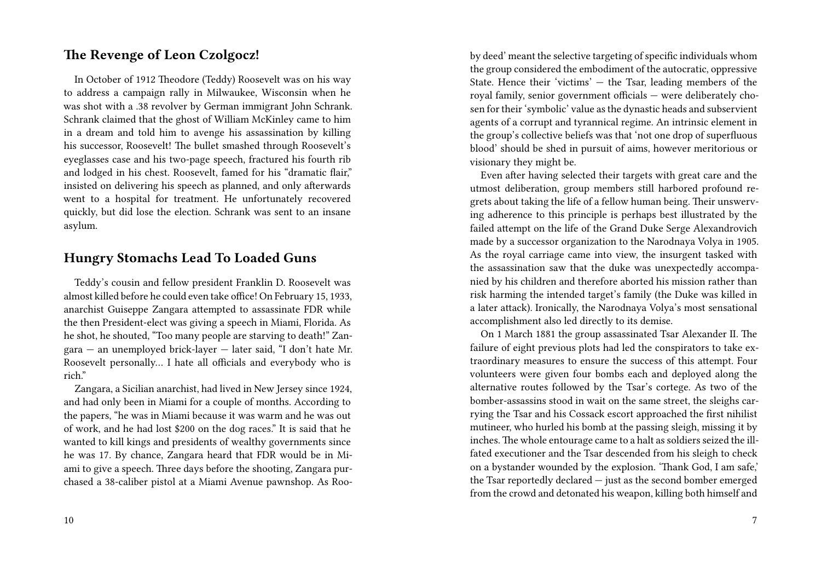#### **The Revenge of Leon Czolgocz!**

In October of 1912 Theodore (Teddy) Roosevelt was on his way to address a campaign rally in Milwaukee, Wisconsin when he was shot with a .38 revolver by German immigrant John Schrank. Schrank claimed that the ghost of William McKinley came to him in a dream and told him to avenge his assassination by killing his successor, Roosevelt! The bullet smashed through Roosevelt's eyeglasses case and his two-page speech, fractured his fourth rib and lodged in his chest. Roosevelt, famed for his "dramatic flair," insisted on delivering his speech as planned, and only afterwards went to a hospital for treatment. He unfortunately recovered quickly, but did lose the election. Schrank was sent to an insane asylum.

## **Hungry Stomachs Lead To Loaded Guns**

Teddy's cousin and fellow president Franklin D. Roosevelt was almost killed before he could even take office! On February 15, 1933, anarchist Guiseppe Zangara attempted to assassinate FDR while the then President-elect was giving a speech in Miami, Florida. As he shot, he shouted, "Too many people are starving to death!" Zangara — an unemployed brick-layer — later said, "I don't hate Mr. Roosevelt personally… I hate all officials and everybody who is rich."

Zangara, a Sicilian anarchist, had lived in New Jersey since 1924, and had only been in Miami for a couple of months. According to the papers, "he was in Miami because it was warm and he was out of work, and he had lost \$200 on the dog races." It is said that he wanted to kill kings and presidents of wealthy governments since he was 17. By chance, Zangara heard that FDR would be in Miami to give a speech. Three days before the shooting, Zangara purchased a 38-caliber pistol at a Miami Avenue pawnshop. As Rooby deed' meant the selective targeting of specific individuals whom the group considered the embodiment of the autocratic, oppressive State. Hence their 'victims' — the Tsar, leading members of the royal family, senior government officials — were deliberately chosen for their 'symbolic' value as the dynastic heads and subservient agents of a corrupt and tyrannical regime. An intrinsic element in the group's collective beliefs was that 'not one drop of superfluous blood' should be shed in pursuit of aims, however meritorious or visionary they might be.

Even after having selected their targets with great care and the utmost deliberation, group members still harbored profound regrets about taking the life of a fellow human being. Their unswerving adherence to this principle is perhaps best illustrated by the failed attempt on the life of the Grand Duke Serge Alexandrovich made by a successor organization to the Narodnaya Volya in 1905. As the royal carriage came into view, the insurgent tasked with the assassination saw that the duke was unexpectedly accompanied by his children and therefore aborted his mission rather than risk harming the intended target's family (the Duke was killed in a later attack). Ironically, the Narodnaya Volya's most sensational accomplishment also led directly to its demise.

On 1 March 1881 the group assassinated Tsar Alexander II. The failure of eight previous plots had led the conspirators to take extraordinary measures to ensure the success of this attempt. Four volunteers were given four bombs each and deployed along the alternative routes followed by the Tsar's cortege. As two of the bomber-assassins stood in wait on the same street, the sleighs carrying the Tsar and his Cossack escort approached the first nihilist mutineer, who hurled his bomb at the passing sleigh, missing it by inches. The whole entourage came to a halt as soldiers seized the illfated executioner and the Tsar descended from his sleigh to check on a bystander wounded by the explosion. 'Thank God, I am safe,' the Tsar reportedly declared — just as the second bomber emerged from the crowd and detonated his weapon, killing both himself and